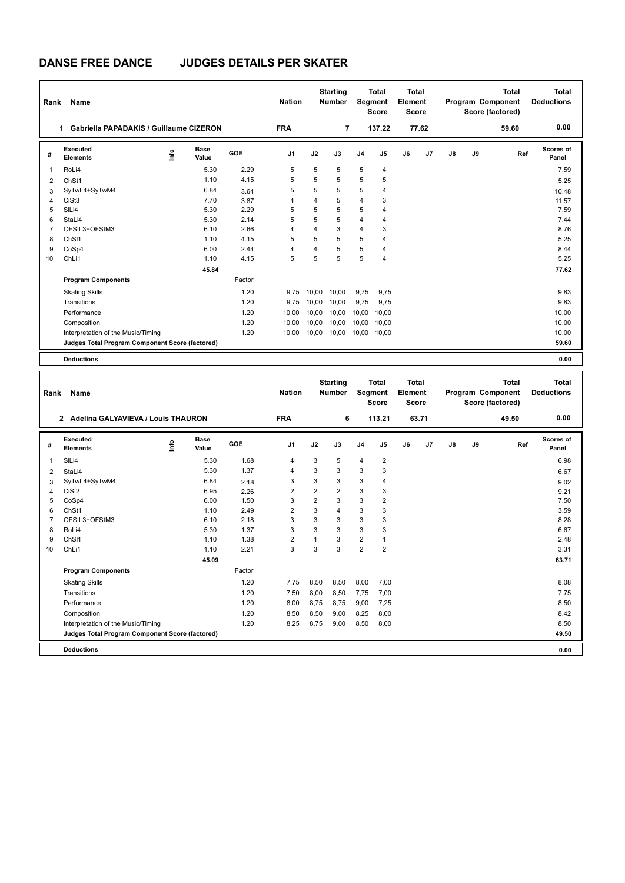# **DANSE FREE DANCE JUDGES DETAILS PER SKATER**

| Rank           | Name                                            |    |                      |            | <b>Nation</b>  |       | <b>Starting</b><br><b>Number</b> |                | <b>Total</b><br><b>Total</b><br>Segment<br>Element<br><b>Score</b><br><b>Score</b> |                         |       | <b>Total</b><br>Program Component<br>Score (factored) |    |                                   | <b>Total</b><br><b>Deductions</b> |
|----------------|-------------------------------------------------|----|----------------------|------------|----------------|-------|----------------------------------|----------------|------------------------------------------------------------------------------------|-------------------------|-------|-------------------------------------------------------|----|-----------------------------------|-----------------------------------|
|                | Gabriella PAPADAKIS / Guillaume CIZERON<br>1.   |    |                      |            | <b>FRA</b>     |       | $\overline{7}$                   |                | 137.22                                                                             |                         | 77.62 |                                                       |    | 59.60                             | 0.00                              |
| #              | Executed<br><b>Elements</b>                     | ۴ů | <b>Base</b><br>Value | <b>GOE</b> | J <sub>1</sub> | J2    | J3                               | J <sub>4</sub> | J5                                                                                 | J6                      | J7    | J8                                                    | J9 | Ref                               | <b>Scores of</b><br>Panel         |
| $\overline{1}$ | RoLi4                                           |    | 5.30                 | 2.29       | 5              | 5     | 5                                | 5              | 4                                                                                  |                         |       |                                                       |    |                                   | 7.59                              |
| 2              | ChSt1                                           |    | 1.10                 | 4.15       | 5              | 5     | 5                                | 5              | 5                                                                                  |                         |       |                                                       |    |                                   | 5.25                              |
| 3              | SyTwL4+SyTwM4                                   |    | 6.84                 | 3.64       | 5              | 5     | 5                                | 5              | 4                                                                                  |                         |       |                                                       |    |                                   | 10.48                             |
| $\overline{4}$ | CiSt <sub>3</sub>                               |    | 7.70                 | 3.87       | 4              | 4     | 5                                | $\overline{4}$ | 3                                                                                  |                         |       |                                                       |    |                                   | 11.57                             |
| 5              | SIL <sub>i4</sub>                               |    | 5.30                 | 2.29       | 5              | 5     | 5                                | 5              | 4                                                                                  |                         |       |                                                       |    |                                   | 7.59                              |
| 6              | StaLi4                                          |    | 5.30                 | 2.14       | 5              | 5     | 5                                | 4              | 4                                                                                  |                         |       |                                                       |    |                                   | 7.44                              |
| $\overline{7}$ | OFStL3+OFStM3                                   |    | 6.10                 | 2.66       | 4              | 4     | 3                                | $\overline{4}$ | 3                                                                                  |                         |       |                                                       |    |                                   | 8.76                              |
| 8              | ChS <sub>11</sub>                               |    | 1.10                 | 4.15       | 5              | 5     | 5                                | 5              | 4                                                                                  |                         |       |                                                       |    |                                   | 5.25                              |
| 9              | CoSp4                                           |    | 6.00                 | 2.44       | 4              | 4     | 5                                | 5              | 4                                                                                  |                         |       |                                                       |    |                                   | 8.44                              |
| 10             | ChLi1                                           |    | 1.10                 | 4.15       | 5              | 5     | 5                                | 5              | $\overline{4}$                                                                     |                         |       |                                                       |    |                                   | 5.25                              |
|                |                                                 |    | 45.84                |            |                |       |                                  |                |                                                                                    |                         |       |                                                       |    |                                   | 77.62                             |
|                | <b>Program Components</b>                       |    |                      | Factor     |                |       |                                  |                |                                                                                    |                         |       |                                                       |    |                                   |                                   |
|                | <b>Skating Skills</b>                           |    |                      | 1.20       | 9,75           | 10,00 | 10,00                            | 9,75           | 9,75                                                                               |                         |       |                                                       |    |                                   | 9.83                              |
|                | Transitions                                     |    |                      | 1.20       | 9,75           | 10,00 | 10,00                            | 9,75           | 9,75                                                                               |                         |       |                                                       |    |                                   | 9.83                              |
|                | Performance                                     |    |                      | 1.20       | 10,00          | 10,00 | 10,00                            | 10,00          | 10,00                                                                              |                         |       |                                                       |    |                                   | 10.00                             |
|                | Composition                                     |    |                      | 1.20       | 10.00          | 10.00 | 10.00                            | 10,00          | 10,00                                                                              |                         |       |                                                       |    |                                   | 10.00                             |
|                | Interpretation of the Music/Timing              |    |                      | 1.20       | 10,00          | 10,00 | 10,00                            | 10,00          | 10,00                                                                              |                         |       |                                                       |    |                                   | 10.00                             |
|                | Judges Total Program Component Score (factored) |    |                      |            |                |       |                                  |                |                                                                                    |                         |       |                                                       |    |                                   | 59.60                             |
|                | <b>Deductions</b>                               |    |                      |            |                |       |                                  |                |                                                                                    |                         |       |                                                       |    |                                   | 0.00                              |
|                |                                                 |    |                      |            |                |       |                                  |                |                                                                                    |                         |       |                                                       |    |                                   |                                   |
| Rank           | <b>Name</b>                                     |    |                      |            | <b>Nation</b>  |       | <b>Starting</b><br><b>Number</b> |                | <b>Total</b><br><b>Seament</b>                                                     | <b>Total</b><br>Element |       |                                                       |    | <b>Total</b><br>Program Component | <b>Total</b><br><b>Deductions</b> |

| Rank | Name                                            | <b>Nation</b> |                      | <b>Number</b> | Segment        | <b>Score</b>   | Element<br><b>Score</b> |                |                | Program Component<br>Score (factored) | <b>Deductions</b> |    |    |       |                    |
|------|-------------------------------------------------|---------------|----------------------|---------------|----------------|----------------|-------------------------|----------------|----------------|---------------------------------------|-------------------|----|----|-------|--------------------|
|      | Adelina GALYAVIEVA / Louis THAURON<br>2         |               |                      |               | <b>FRA</b>     |                | 6                       |                | 113.21         |                                       | 63.71             |    |    | 49.50 | 0.00               |
| #    | <b>Executed</b><br><b>Elements</b>              | ١nf٥          | <b>Base</b><br>Value | GOE           | J <sub>1</sub> | J2             | J3                      | J <sub>4</sub> | J5             | J6                                    | J <sub>7</sub>    | J8 | J9 | Ref   | Scores of<br>Panel |
| 1    | SILi4                                           |               | 5.30                 | 1.68          | $\overline{4}$ | 3              | 5                       | $\overline{4}$ | $\overline{2}$ |                                       |                   |    |    |       | 6.98               |
| 2    | StaLi4                                          |               | 5.30                 | 1.37          | $\overline{4}$ | 3              | 3                       | 3              | 3              |                                       |                   |    |    |       | 6.67               |
| 3    | SyTwL4+SyTwM4                                   |               | 6.84                 | 2.18          | 3              | 3              | 3                       | 3              | $\overline{4}$ |                                       |                   |    |    |       | 9.02               |
| 4    | CiSt <sub>2</sub>                               |               | 6.95                 | 2.26          | $\overline{2}$ | $\overline{2}$ | $\overline{2}$          | 3              | 3              |                                       |                   |    |    |       | 9.21               |
| 5    | CoSp4                                           |               | 6.00                 | 1.50          | 3              | $\overline{2}$ | 3                       | 3              | $\overline{2}$ |                                       |                   |    |    |       | 7.50               |
| 6    | ChSt1                                           |               | 1.10                 | 2.49          | $\overline{2}$ | 3              | 4                       | 3              | 3              |                                       |                   |    |    |       | 3.59               |
|      | OFStL3+OFStM3                                   |               | 6.10                 | 2.18          | 3              | 3              | 3                       | 3              | 3              |                                       |                   |    |    |       | 8.28               |
| 8    | RoLi4                                           |               | 5.30                 | 1.37          | 3              | 3              | 3                       | 3              | 3              |                                       |                   |    |    |       | 6.67               |
| 9    | ChS <sub>11</sub>                               |               | 1.10                 | 1.38          | $\overline{2}$ | 1              | 3                       | $\overline{2}$ |                |                                       |                   |    |    |       | 2.48               |
| 10   | ChLi1                                           |               | 1.10                 | 2.21          | 3              | 3              | 3                       | $\overline{2}$ | $\overline{2}$ |                                       |                   |    |    |       | 3.31               |
|      |                                                 |               | 45.09                |               |                |                |                         |                |                |                                       |                   |    |    |       | 63.71              |
|      | <b>Program Components</b>                       |               |                      | Factor        |                |                |                         |                |                |                                       |                   |    |    |       |                    |
|      | <b>Skating Skills</b>                           |               |                      | 1.20          | 7,75           | 8,50           | 8,50                    | 8,00           | 7,00           |                                       |                   |    |    |       | 8.08               |
|      | Transitions                                     |               |                      | 1.20          | 7,50           | 8,00           | 8,50                    | 7,75           | 7,00           |                                       |                   |    |    |       | 7.75               |
|      | Performance                                     |               |                      | 1.20          | 8,00           | 8,75           | 8,75                    | 9,00           | 7,25           |                                       |                   |    |    |       | 8.50               |
|      | Composition                                     |               |                      | 1.20          | 8,50           | 8,50           | 9,00                    | 8,25           | 8,00           |                                       |                   |    |    |       | 8.42               |
|      | Interpretation of the Music/Timing              |               |                      | 1.20          | 8,25           | 8,75           | 9,00                    | 8,50           | 8,00           |                                       |                   |    |    |       | 8.50               |
|      | Judges Total Program Component Score (factored) |               |                      |               |                |                |                         |                |                |                                       |                   |    |    |       | 49.50              |
|      | <b>Deductions</b>                               |               |                      |               |                |                |                         |                |                |                                       |                   |    |    |       | 0.00               |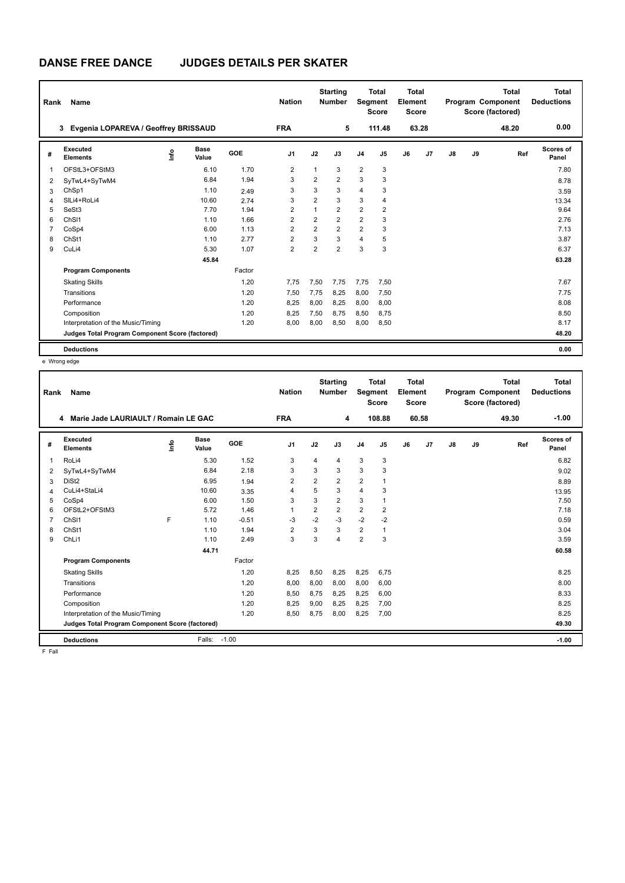### **DANSE FREE DANCE JUDGES DETAILS PER SKATER**

| Rank           | <b>Name</b>                                     |      |                      |        | <b>Nation</b>  |                | <b>Starting</b><br><b>Number</b> | Segment        | <b>Total</b><br><b>Score</b> | <b>Total</b><br>Element<br><b>Score</b> |       |               |    | <b>Total</b><br>Program Component<br>Score (factored) | Total<br><b>Deductions</b> |
|----------------|-------------------------------------------------|------|----------------------|--------|----------------|----------------|----------------------------------|----------------|------------------------------|-----------------------------------------|-------|---------------|----|-------------------------------------------------------|----------------------------|
|                | Evgenia LOPAREVA / Geoffrey BRISSAUD<br>3       |      |                      |        | <b>FRA</b>     |                | 5                                |                | 111.48                       |                                         | 63.28 |               |    | 48.20                                                 | 0.00                       |
| #              | Executed<br><b>Elements</b>                     | ١nfo | <b>Base</b><br>Value | GOE    | J <sub>1</sub> | J2             | J3                               | J <sub>4</sub> | $\mathsf{J}5$                | J6                                      | J7    | $\mathsf{J}8$ | J9 | Ref                                                   | Scores of<br>Panel         |
| $\overline{1}$ | OFStL3+OFStM3                                   |      | 6.10                 | 1.70   | 2              | 1              | 3                                | $\overline{2}$ | 3                            |                                         |       |               |    |                                                       | 7.80                       |
| 2              | SyTwL4+SyTwM4                                   |      | 6.84                 | 1.94   | 3              | $\overline{2}$ | $\overline{2}$                   | 3              | 3                            |                                         |       |               |    |                                                       | 8.78                       |
| 3              | ChSp1                                           |      | 1.10                 | 2.49   | 3              | 3              | 3                                | $\overline{4}$ | 3                            |                                         |       |               |    |                                                       | 3.59                       |
| $\overline{4}$ | SILi4+RoLi4                                     |      | 10.60                | 2.74   | 3              | $\overline{2}$ | 3                                | 3              | $\overline{4}$               |                                         |       |               |    |                                                       | 13.34                      |
| 5              | SeSt3                                           |      | 7.70                 | 1.94   | $\overline{2}$ | $\mathbf{1}$   | $\overline{2}$                   | $\overline{2}$ | $\overline{2}$               |                                         |       |               |    |                                                       | 9.64                       |
| 6              | ChS <sub>11</sub>                               |      | 1.10                 | 1.66   | $\overline{2}$ | $\overline{2}$ | $\overline{2}$                   | $\overline{2}$ | 3                            |                                         |       |               |    |                                                       | 2.76                       |
| $\overline{7}$ | CoSp4                                           |      | 6.00                 | 1.13   | $\overline{2}$ | $\overline{2}$ | $\overline{2}$                   | $\overline{2}$ | 3                            |                                         |       |               |    |                                                       | 7.13                       |
| 8              | ChSt1                                           |      | 1.10                 | 2.77   | 2              | 3              | 3                                | $\overline{4}$ | 5                            |                                         |       |               |    |                                                       | 3.87                       |
| 9              | CuLi4                                           |      | 5.30                 | 1.07   | $\overline{2}$ | $\overline{2}$ | $\overline{2}$                   | 3              | 3                            |                                         |       |               |    |                                                       | 6.37                       |
|                |                                                 |      | 45.84                |        |                |                |                                  |                |                              |                                         |       |               |    |                                                       | 63.28                      |
|                | <b>Program Components</b>                       |      |                      | Factor |                |                |                                  |                |                              |                                         |       |               |    |                                                       |                            |
|                | <b>Skating Skills</b>                           |      |                      | 1.20   | 7.75           | 7,50           | 7.75                             | 7,75           | 7,50                         |                                         |       |               |    |                                                       | 7.67                       |
|                | Transitions                                     |      |                      | 1.20   | 7,50           | 7,75           | 8,25                             | 8,00           | 7,50                         |                                         |       |               |    |                                                       | 7.75                       |
|                | Performance                                     |      |                      | 1.20   | 8,25           | 8,00           | 8,25                             | 8.00           | 8.00                         |                                         |       |               |    |                                                       | 8.08                       |
|                | Composition                                     |      |                      | 1.20   | 8,25           | 7,50           | 8,75                             | 8,50           | 8,75                         |                                         |       |               |    |                                                       | 8.50                       |
|                | Interpretation of the Music/Timing              |      |                      | 1.20   | 8,00           | 8,00           | 8,50                             | 8,00           | 8,50                         |                                         |       |               |    |                                                       | 8.17                       |
|                | Judges Total Program Component Score (factored) |      |                      |        |                |                |                                  |                |                              |                                         |       |               |    |                                                       | 48.20                      |
|                | <b>Deductions</b>                               |      |                      |        |                |                |                                  |                |                              |                                         |       |               |    |                                                       | 0.00                       |

e Wrong edge

| Rank           | Name                                            |   |                      |         | <b>Nation</b>  |                | <b>Starting</b><br><b>Number</b> | Segment        | <b>Total</b><br><b>Score</b> | <b>Total</b><br>Element<br><b>Score</b> |                |    |    | <b>Total</b><br>Program Component<br>Score (factored) | <b>Total</b><br><b>Deductions</b> |
|----------------|-------------------------------------------------|---|----------------------|---------|----------------|----------------|----------------------------------|----------------|------------------------------|-----------------------------------------|----------------|----|----|-------------------------------------------------------|-----------------------------------|
|                | Marie Jade LAURIAULT / Romain LE GAC<br>4       |   |                      |         | <b>FRA</b>     |                | 4                                |                | 108.88                       |                                         | 60.58          |    |    | 49.30                                                 | $-1.00$                           |
| #              | Executed<br><b>Elements</b>                     | ۴ | <b>Base</b><br>Value | GOE     | J <sub>1</sub> | J2             | J3                               | J <sub>4</sub> | J <sub>5</sub>               | J6                                      | J <sub>7</sub> | J8 | J9 | Ref                                                   | <b>Scores of</b><br>Panel         |
| 1              | RoLi4                                           |   | 5.30                 | 1.52    | 3              | 4              | 4                                | 3              | 3                            |                                         |                |    |    |                                                       | 6.82                              |
| 2              | SyTwL4+SyTwM4                                   |   | 6.84                 | 2.18    | 3              | 3              | 3                                | 3              | 3                            |                                         |                |    |    |                                                       | 9.02                              |
| 3              | DiSt <sub>2</sub>                               |   | 6.95                 | 1.94    | $\overline{2}$ | $\overline{2}$ | $\overline{2}$                   | $\overline{2}$ | $\mathbf{1}$                 |                                         |                |    |    |                                                       | 8.89                              |
| 4              | CuLi4+StaLi4                                    |   | 10.60                | 3.35    | $\overline{4}$ | 5              | 3                                | $\overline{4}$ | 3                            |                                         |                |    |    |                                                       | 13.95                             |
| 5              | CoSp4                                           |   | 6.00                 | 1.50    | 3              | 3              | $\overline{2}$                   | 3              | 1                            |                                         |                |    |    |                                                       | 7.50                              |
| 6              | OFStL2+OFStM3                                   |   | 5.72                 | 1.46    | $\mathbf{1}$   | $\overline{2}$ | $\overline{2}$                   | $\overline{2}$ | $\overline{2}$               |                                         |                |    |    |                                                       | 7.18                              |
| $\overline{7}$ | ChS <sub>11</sub>                               | F | 1.10                 | $-0.51$ | $-3$           | $-2$           | $-3$                             | $-2$           | $-2$                         |                                         |                |    |    |                                                       | 0.59                              |
| 8              | ChSt1                                           |   | 1.10                 | 1.94    | $\overline{2}$ | 3              | 3                                | $\overline{2}$ | $\mathbf{1}$                 |                                         |                |    |    |                                                       | 3.04                              |
| 9              | ChLi1                                           |   | 1.10                 | 2.49    | 3              | 3              | 4                                | $\overline{2}$ | 3                            |                                         |                |    |    |                                                       | 3.59                              |
|                |                                                 |   | 44.71                |         |                |                |                                  |                |                              |                                         |                |    |    |                                                       | 60.58                             |
|                | <b>Program Components</b>                       |   |                      | Factor  |                |                |                                  |                |                              |                                         |                |    |    |                                                       |                                   |
|                | <b>Skating Skills</b>                           |   |                      | 1.20    | 8,25           | 8,50           | 8,25                             | 8,25           | 6,75                         |                                         |                |    |    |                                                       | 8.25                              |
|                | Transitions                                     |   |                      | 1.20    | 8,00           | 8,00           | 8,00                             | 8,00           | 6,00                         |                                         |                |    |    |                                                       | 8.00                              |
|                | Performance                                     |   |                      | 1.20    | 8.50           | 8.75           | 8.25                             | 8.25           | 6.00                         |                                         |                |    |    |                                                       | 8.33                              |
|                | Composition                                     |   |                      | 1.20    | 8,25           | 9,00           | 8,25                             | 8,25           | 7,00                         |                                         |                |    |    |                                                       | 8.25                              |
|                | Interpretation of the Music/Timing              |   |                      | 1.20    | 8,50           | 8,75           | 8,00                             | 8,25           | 7.00                         |                                         |                |    |    |                                                       | 8.25                              |
|                | Judges Total Program Component Score (factored) |   |                      |         |                |                |                                  |                |                              |                                         |                |    |    |                                                       | 49.30                             |
| $F = F - H$    | <b>Deductions</b>                               |   | Falls:               | $-1.00$ |                |                |                                  |                |                              |                                         |                |    |    |                                                       | $-1.00$                           |

F Fall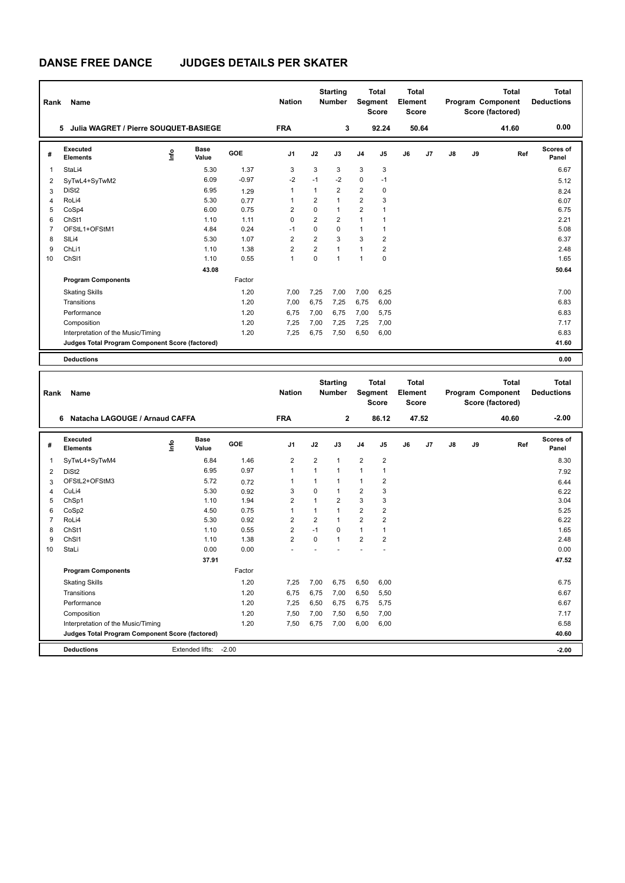H

# **DANSE FREE DANCE JUDGES DETAILS PER SKATER**

| Rank           | <b>Name</b>                                     | <b>Nation</b>              |                 | <b>Starting</b><br><b>Number</b> |                | <b>Total</b><br>Segment<br><b>Score</b> | <b>Total</b><br>Element<br><b>Score</b> |                                         | Program Component                |                | <b>Total</b><br>Score (factored) | <b>Total</b><br><b>Deductions</b> |                                                       |                                   |
|----------------|-------------------------------------------------|----------------------------|-----------------|----------------------------------|----------------|-----------------------------------------|-----------------------------------------|-----------------------------------------|----------------------------------|----------------|----------------------------------|-----------------------------------|-------------------------------------------------------|-----------------------------------|
|                | Julia WAGRET / Pierre SOUQUET-BASIEGE<br>5      |                            |                 | <b>FRA</b>                       |                | 3                                       |                                         | 92.24                                   |                                  | 50.64          |                                  |                                   | 41.60                                                 | 0.00                              |
| #              | Executed<br><b>Elements</b>                     | <b>Base</b><br>۴ů<br>Value | GOE             | J <sub>1</sub>                   | J2             | J3                                      | J <sub>4</sub>                          | J5                                      | J6                               | J <sub>7</sub> | J8                               | J9                                | Ref                                                   | <b>Scores of</b><br>Panel         |
| $\overline{1}$ | StaLi4                                          |                            | 1.37<br>5.30    | 3                                | 3              | 3                                       | 3                                       | 3                                       |                                  |                |                                  |                                   |                                                       | 6.67                              |
| $\overline{2}$ | SyTwL4+SyTwM2                                   |                            | 6.09<br>$-0.97$ | $-2$                             | $-1$           | $-2$                                    | $\mathbf 0$                             | $-1$                                    |                                  |                |                                  |                                   |                                                       | 5.12                              |
| 3              | DiSt <sub>2</sub>                               |                            | 6.95<br>1.29    | 1                                | 1              | $\overline{2}$                          | $\overline{2}$                          | 0                                       |                                  |                |                                  |                                   |                                                       | 8.24                              |
| 4              | RoLi4                                           |                            | 5.30<br>0.77    | 1                                | $\overline{2}$ | $\mathbf{1}$                            | $\overline{2}$                          | 3                                       |                                  |                |                                  |                                   |                                                       | 6.07                              |
| 5              | CoSp4                                           |                            | 0.75<br>6.00    | 2                                | 0              | $\mathbf{1}$                            | 2                                       | 1                                       |                                  |                |                                  |                                   |                                                       | 6.75                              |
| 6              | ChSt1                                           |                            | 1.10<br>1.11    | $\mathbf 0$                      | $\overline{2}$ | $\overline{2}$                          | 1                                       | $\mathbf 1$                             |                                  |                |                                  |                                   |                                                       | 2.21                              |
| $\overline{7}$ | OFStL1+OFStM1                                   |                            | 4.84<br>0.24    | $-1$                             | 0              | $\Omega$                                | $\mathbf{1}$                            | $\mathbf{1}$                            |                                  |                |                                  |                                   |                                                       | 5.08                              |
| 8              | SIL <sub>i4</sub>                               |                            | 5.30<br>1.07    | $\overline{2}$                   | $\overline{2}$ | 3                                       | 3                                       | $\overline{2}$                          |                                  |                |                                  |                                   |                                                       | 6.37                              |
| 9              | ChLi1                                           |                            | 1.38<br>1.10    | $\overline{2}$                   | $\overline{2}$ | $\mathbf{1}$                            | $\mathbf{1}$                            | 2                                       |                                  |                |                                  |                                   |                                                       | 2.48                              |
| 10             | ChS <sub>11</sub>                               |                            | 0.55<br>1.10    | $\mathbf{1}$                     | $\Omega$       | $\mathbf{1}$                            | $\mathbf{1}$                            | $\mathbf 0$                             |                                  |                |                                  |                                   |                                                       | 1.65                              |
|                |                                                 |                            | 43.08           |                                  |                |                                         |                                         |                                         |                                  |                |                                  |                                   |                                                       | 50.64                             |
|                | <b>Program Components</b>                       |                            | Factor          |                                  |                |                                         |                                         |                                         |                                  |                |                                  |                                   |                                                       |                                   |
|                | <b>Skating Skills</b>                           |                            | 1.20            | 7,00                             | 7,25           | 7,00                                    | 7,00                                    | 6,25                                    |                                  |                |                                  |                                   |                                                       | 7.00                              |
|                | Transitions                                     |                            | 1.20            | 7,00                             | 6,75           | 7,25                                    | 6,75                                    | 6,00                                    |                                  |                |                                  |                                   |                                                       | 6.83                              |
|                | Performance                                     |                            | 1.20            | 6,75                             | 7,00           | 6,75                                    | 7,00                                    | 5,75                                    |                                  |                |                                  |                                   |                                                       | 6.83                              |
|                | Composition                                     |                            | 1.20            | 7,25                             | 7,00           | 7,25                                    | 7,25                                    | 7,00                                    |                                  |                |                                  |                                   |                                                       | 7.17                              |
|                | Interpretation of the Music/Timing              |                            | 1.20            | 7,25                             | 6,75           | 7,50                                    | 6,50                                    | 6,00                                    |                                  |                |                                  |                                   |                                                       | 6.83                              |
|                | Judges Total Program Component Score (factored) |                            |                 |                                  |                |                                         |                                         |                                         |                                  |                |                                  |                                   |                                                       | 41.60                             |
|                | <b>Deductions</b>                               |                            |                 |                                  |                |                                         |                                         |                                         |                                  |                |                                  |                                   |                                                       | 0.00                              |
|                |                                                 |                            |                 |                                  |                |                                         |                                         |                                         |                                  |                |                                  |                                   |                                                       |                                   |
| Rank           | <b>Name</b>                                     |                            |                 | <b>Nation</b>                    |                | <b>Starting</b><br><b>Number</b>        |                                         | <b>Total</b><br>Segment<br><b>Score</b> | <b>Total</b><br>Element<br>Score |                |                                  |                                   | <b>Total</b><br>Program Component<br>Score (factored) | <b>Total</b><br><b>Deductions</b> |
|                | 6 Natacha I AGOUGE / Arnaud CAFFA               |                            |                 | <b>FRA</b>                       |                | 2                                       |                                         | 86 12                                   |                                  | 47.52          |                                  |                                   | 40.60                                                 | $-2.00$                           |

|    | Natacha LAGOUGE / Arnaud CAFFA<br>6             |      |                      |         | <b>FRA</b>     |                | 2              |                | 86.12          |    | 47.52          |               |    | 40.60 | $-2.00$                   |
|----|-------------------------------------------------|------|----------------------|---------|----------------|----------------|----------------|----------------|----------------|----|----------------|---------------|----|-------|---------------------------|
| #  | <b>Executed</b><br><b>Elements</b>              | lnfo | <b>Base</b><br>Value | GOE     | J <sub>1</sub> | J2             | J3             | J <sub>4</sub> | J <sub>5</sub> | J6 | J <sub>7</sub> | $\mathsf{J}8$ | J9 | Ref   | <b>Scores of</b><br>Panel |
| 1  | SyTwL4+SyTwM4                                   |      | 6.84                 | 1.46    | $\overline{2}$ | $\overline{2}$ | $\overline{1}$ | 2              | $\overline{2}$ |    |                |               |    |       | 8.30                      |
| 2  | DiSt <sub>2</sub>                               |      | 6.95                 | 0.97    | $\overline{1}$ |                | 1              | 1              |                |    |                |               |    |       | 7.92                      |
| 3  | OFStL2+OFStM3                                   |      | 5.72                 | 0.72    |                |                |                | 1              | $\overline{2}$ |    |                |               |    |       | 6.44                      |
| 4  | CuLi4                                           |      | 5.30                 | 0.92    | 3              | $\Omega$       |                | $\overline{2}$ | 3              |    |                |               |    |       | 6.22                      |
| 5  | ChSp1                                           |      | 1.10                 | 1.94    | $\overline{2}$ |                | 2              | 3              | 3              |    |                |               |    |       | 3.04                      |
| 6  | CoSp2                                           |      | 4.50                 | 0.75    |                |                |                | $\overline{2}$ | 2              |    |                |               |    |       | 5.25                      |
|    | RoLi4                                           |      | 5.30                 | 0.92    | 2              | $\overline{2}$ |                | $\overline{2}$ | 2              |    |                |               |    |       | 6.22                      |
| 8  | ChSt1                                           |      | 1.10                 | 0.55    | $\overline{2}$ | $-1$           | $\Omega$       | 1              |                |    |                |               |    |       | 1.65                      |
| 9  | ChSI1                                           |      | 1.10                 | 1.38    | $\overline{2}$ | $\Omega$       | $\overline{1}$ | $\overline{2}$ | $\overline{2}$ |    |                |               |    |       | 2.48                      |
| 10 | StaLi                                           |      | 0.00                 | 0.00    |                |                |                |                |                |    |                |               |    |       | 0.00                      |
|    |                                                 |      | 37.91                |         |                |                |                |                |                |    |                |               |    |       | 47.52                     |
|    | <b>Program Components</b>                       |      |                      | Factor  |                |                |                |                |                |    |                |               |    |       |                           |
|    | <b>Skating Skills</b>                           |      |                      | 1.20    | 7,25           | 7,00           | 6,75           | 6,50           | 6,00           |    |                |               |    |       | 6.75                      |
|    | Transitions                                     |      |                      | 1.20    | 6,75           | 6,75           | 7,00           | 6,50           | 5,50           |    |                |               |    |       | 6.67                      |
|    | Performance                                     |      |                      | 1.20    | 7,25           | 6,50           | 6,75           | 6,75           | 5,75           |    |                |               |    |       | 6.67                      |
|    | Composition                                     |      |                      | 1.20    | 7,50           | 7,00           | 7,50           | 6,50           | 7,00           |    |                |               |    |       | 7.17                      |
|    | Interpretation of the Music/Timing              |      |                      | 1.20    | 7,50           | 6,75           | 7,00           | 6,00           | 6,00           |    |                |               |    |       | 6.58                      |
|    | Judges Total Program Component Score (factored) |      |                      |         |                |                |                |                |                |    |                |               |    |       | 40.60                     |
|    | <b>Deductions</b>                               |      | Extended lifts:      | $-2.00$ |                |                |                |                |                |    |                |               |    |       | $-2.00$                   |